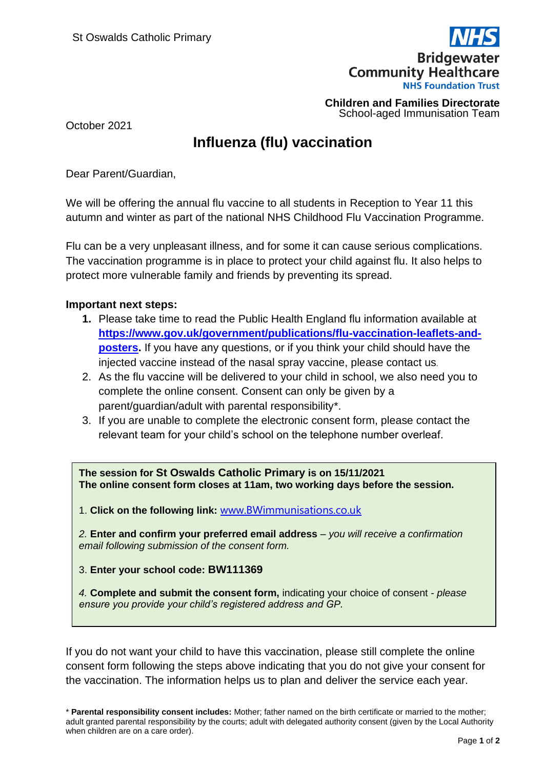

**Children and Families Directorate** School-aged Immunisation Team

October 2021

## **Influenza (flu) vaccination**

Dear Parent/Guardian,

We will be offering the annual flu vaccine to all students in Reception to Year 11 this autumn and winter as part of the national NHS Childhood Flu Vaccination Programme.

Flu can be a very unpleasant illness, and for some it can cause serious complications. The vaccination programme is in place to protect your child against flu. It also helps to protect more vulnerable family and friends by preventing its spread.

## **Important next steps:**

- **1.** Please take time to read the Public Health England flu information available at **[https://www.gov.uk/government/publications/flu-vaccination-leaflets-and](https://www.gov.uk/government/publications/flu-vaccination-leaflets-and-posters)[posters.](https://www.gov.uk/government/publications/flu-vaccination-leaflets-and-posters)** If you have any questions, or if you think your child should have the injected vaccine instead of the nasal spray vaccine, please contact us.
- 2. As the flu vaccine will be delivered to your child in school, we also need you to complete the online consent. Consent can only be given by a parent/guardian/adult with parental responsibility\*.
- 3. If you are unable to complete the electronic consent form, please contact the relevant team for your child's school on the telephone number overleaf.

**The session for St Oswalds Catholic Primary is on 15/11/2021 The online consent form closes at 11am, two working days before the session.** 

1. **Click on the following link:** [www.BWimmunisations.co.uk](http://www.bwimmunisations.co.uk/)

*2.* **Enter and confirm your preferred email address** – *you will receive a confirmation email following submission of the consent form.* 

3. **Enter your school code: BW111369**

*4.* **Complete and submit the consent form,** indicating your choice of consent *- please ensure you provide your child's registered address and GP.* 

If you do not want your child to have this vaccination, please still complete the online consent form following the steps above indicating that you do not give your consent for the vaccination. The information helps us to plan and deliver the service each year.